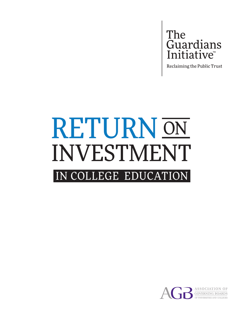The Guardians

Reclaiming the Public Trust

# RETURN ON INVESTMENT IN COLLEGE EDUCATION

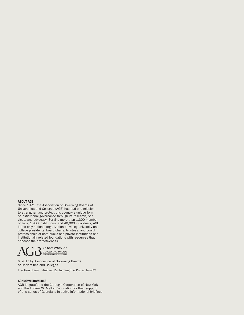#### ABOUT AGB

Since 1921, the Association of Governing Boards of Universities and Colleges (AGB) has had one mission: to strengthen and protect this country's unique form of institutional governance through its research, services, and advocacy. Serving more than 1,300 member boards, 1,900 institutions, and 40,000 individuals, AGB is the only national organization providing university and college presidents, board chairs, trustees, and board professionals of both public and private institutions and institutionally related foundations with resources that enhance their effectiveness.



© 2017 by Association of Governing Boards of Universities and Colleges

The Guardians Initiative: Reclaiming the Public Trust™

#### ACKNOWLEDGMENTS

AGB is grateful to the Carnegie Corporation of New York and the Andrew W. Mellon Foundation for their support of this series of Guardians Initiative informational briefings.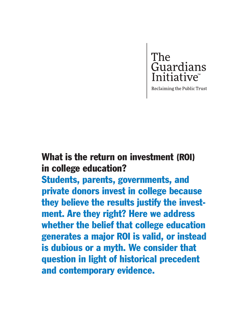

Reclaiming the Public Trust

# What is the return on investment (ROI) in college education?

Students, parents, governments, and private donors invest in college because they believe the results justify the investment. Are they right? Here we address whether the belief that college education generates a major ROI is valid, or instead is dubious or a myth. We consider that question in light of historical precedent and contemporary evidence.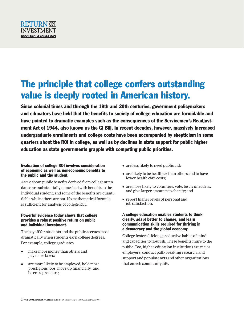

# The principle that college confers outstanding value is deeply rooted in American history.

Since colonial times and through the 19th and 20th centuries, government policymakers and educators have held that the benefits to society of college education are formidable and have pointed to dramatic examples such as the consequences of the Servicemen's Readjustment Act of 1944, also known as the GI Bill. In recent decades, however, massively increased undergraduate enrollments and college costs have been accompanied by skepticism in some quarters about the ROI in college, as well as by declines in state support for public higher education as state governments grapple with competing public priorities.

## Evaluation of college ROI involves consideration of economic as well as noneconomic benefits to the public and the student.

As we show, public benefits derived from college attendance are substantially enmeshed with benefits to the individual student, and some of the benefits are quantifiable while others are not. No mathematical formula is sufficient for analysis of college ROI.

## Powerful evidence today shows that college provides a robust positive return on public and individual investment.

The payoff for students and the public accrues most dramatically when students earn college degrees. For example, college graduates

- make more money than others and pay more taxes;
- are more likely to be employed, hold more prestigious jobs, move up financially, and be entrepreneurs;
- are less likely to need public aid;
- are likely to be healthier than others and to have lower health care costs;
- are more likely to volunteer, vote, be civic leaders, and give larger amounts to charity; and
- report higher levels of personal and job satisfaction.

#### A college education enables students to think clearly, adapt better to change, and learn communication skills required for thriving in a democracy and the global economy.

College fosters lifelong productive habits of mind and capacities to flourish. These benefits inure to the public. Too, higher education institutions are major employers, conduct path-breaking research, and support and populate arts and other organizations that enrich community life.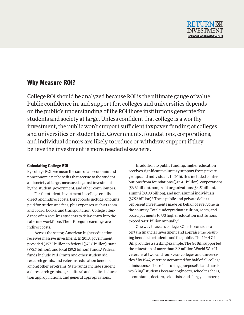# Why Measure ROI?

College ROI should be analyzed because ROI is the ultimate gauge of value. Public confidence in, and support for, colleges and universities depends on the public's understanding of the ROI those institutions generate for students and society at large. Unless confident that college is a worthy investment, the public won't support sufficient taxpayer funding of colleges and universities or student aid. Governments, foundations, corporations, and individual donors are likely to reduce or withdraw support if they believe the investment is more needed elsewhere.

# Calculating College ROI

By college ROI, we mean the sum of all economic and noneconomic net benefits that accrue to the student and society at large, measured against investment by the student, government, and other contributors.

For the student, investment in college entails direct and indirect costs. Direct costs include amounts paid for tuition and fees, plus expenses such as room and board, books, and transportation. College attendance often requires students to delay entry into the full-time workforce. Their foregone earnings are indirect costs.

Across the sector, American higher education receives massive investment. In 2013, government provided \$157.5 billion in federal (\$75.6 billion), state (\$72.7 billion), and local (\$9.2 billion) funds.<sup>1</sup> Federal funds include Pell Grants and other student aid, research grants, and veterans' education benefits, among other programs. State funds include student aid, research grants, agricultural and medical education appropriations, and general appropriations.

In addition to public funding, higher education receives significant voluntary support from private groups and individuals. In 2016, this included contributions from foundations (\$12.45 billion), corporations (\$6.6 billion), nonprofit organizations (\$4.5 billion), alumni (\$9.93 billion), and non-alumni individuals (\$7.52 billion).2 These public and private dollars represent investments made on behalf of everyone in the country. Total undergraduate tuition, room, and board payments to US higher education institutions exceed \$420 billion annually.<sup>3</sup>

One way to assess college ROI is to consider a certain financial investment and appraise the resulting benefits to students and the public. The 1944 GI Bill provides a striking example. The GI Bill supported the education of more than 2.2 million World War II veterans at two- and four-year colleges and universities.<sup>4</sup> By 1947, veterans accounted for half of all college admissions.5 Those "maturing, purposeful, and hardworking" students became engineers, schoolteachers, accountants, doctors, scientists, and clergy members;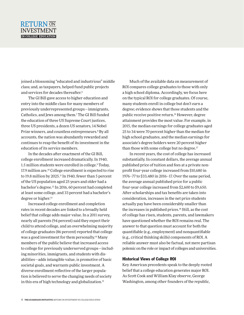# RETURN ON INVESTMENT **IN COLLEGE EDUCATION**

joined a blossoming "educated and industrious" middle class; and, as taxpayers, helped fund public projects and services for decades thereafter.<sup>6</sup>

The GI Bill gave access to higher education and entry into the middle class for many members of previously underrepresented groups—immigrants, Catholics, and Jews among them.7 The GI Bill funded the education of three US Supreme Court justices, three US presidents, a dozen US senators, 14 Nobel Prize winners, and countless entrepreneurs.8 By all accounts, the nation was abundantly rewarded and continues to reap the benefit of its investment in the education of its service members.

In the decades after enactment of the GI Bill, college enrollment increased dramatically. In 1940, 1.5 million students were enrolled in college.9 Today, 17.9 million are.<sup>10</sup> College enrollment is expected to rise to 19.8 million by 2025.<sup>11</sup> In 1940, fewer than 5 percent of the US population aged 25 years and older had a bachelor's degree.12 In 2016, 60 percent had completed at least some college, and 33 percent had a bachelor's degree or higher.13

Increased college enrollment and completion rates in recent decades are linked to a broadly held belief that college adds major value. In a 2011 survey, nearly all parents (94 percent) said they expect their child to attend college, and an overwhelming majority of college graduates (86 percent) reported that college was a good investment for them personally.<sup>14</sup> Many members of the public believe that increased access to college for previously underserved groups—including minorities, immigrants, and students with disabilities—adds intangible value, is promotive of basic societal goals, and warrants public investment. A diverse enrollment reflective of the larger population is believed to serve the changing needs of society in this era of high technology and globalization.<sup>15</sup>

Much of the available data on measurement of ROI compares college graduates to those with only a high school diploma. Accordingly, we focus here on the typical ROI for college graduates. Of course, many students enroll in college but don't earn a degree; evidence shows that those students and the public receive positive return.16 However, degree attainment provides the most value. For example, in 2015, the median earnings for college graduates aged 25 to 34 were 70 percent higher than the median for high school graduates, and the median earnings for associate's degree holders were 20 percent higher than those with some college but no degree.<sup>17</sup>

In recent years, the cost of college has increased substantially. In constant dollars, the average annual published price of tuition and fees at a private nonprofit four-year college increased from \$10,680 in 1976–77 to \$33,480 in 2016–17. Over the same period, the average annual published price for a public four-year college increased from \$2,600 to \$9,650. After scholarships and tax benefits are taken into consideration, increases in the net price students actually pay have been considerably smaller than the increases in published prices.18 Still, as the cost of college has risen, students, parents, and lawmakers have questioned whether the ROI remains real. The answer to that question must account for both the quantifiable (e.g., employment) and nonquantifiable (e.g., critical thinking skills) components of ROI. A reliable answer must also be factual, not mere partisan polemic on the role or impact of colleges and universities.

#### Historical Views of College ROI

Key American precedents speak to the deeply rooted belief that a college education generates major ROI. As Scott Cook and William Klay observe, George Washington, among other founders of the republic,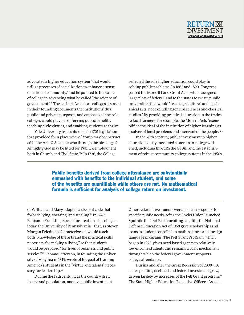

advocated a higher education system "that would utilize processes of socialization to enhance a sense of national community," and he pointed to the value of college in advancing what he called "the science of government."19 The earliest American colleges stressed in their founding documents the institutions' dual public and private purposes, and emphasized the role colleges would play in conferring public benefits, teaching civic virtues, and enabling students to thrive.

Yale University traces its roots to 1701 legislation that provided for a place where "Youth may be instructed in the Arts & Sciences who through the blessing of Almighty God may be fitted for Publick employment both in Church and Civil State."20 In 1736, the College

reflected the role higher education could play in solving public problems. In 1862 and 1890, Congress passed the Morrill Land Grant Acts, which assigned large plots of federal land to the states to create public universities that would "teach agricultural and mechanical arts, not excluding general sciences and classical studies." By providing practical education in the trades to local farmers, for example, the Morrill Acts "exemplified the ideal of the institution of higher learning as a solver of local problems and a servant of the people."24

In the 20th century, public investment in higher education vastly increased as access to college widened, including through the GI Bill and the establishment of robust community college systems in the 1950s.

Public benefits derived from college attendance are substantially enmeshed with benefits to the individual student, and some of the benefits are quantifiable while others are not. No mathematical formula is sufficient for analysis of college return on investment.

of William and Mary adopted a student code that forbade lying, cheating, and stealing.21 In 1749, Benjamin Franklin pressed for creation of a college today, the University of Pennsylvania—that, as Steven Morgan Friedman characterizes it, would teach both "knowledge of the arts and the practical skills necessary for making a living," so that students would be prepared "for lives of business and public service."<sup>22</sup> Thomas Jefferson, in founding the University of Virginia in 1819, wrote of his goal of training America's students in the "virtue and talents" necessary for leadership.<sup>23</sup>

During the 19th century, as the country grew in size and population, massive public investment Other federal investments were made in response to specific public needs. After the Soviet Union launched Sputnik, the first Earth-orbiting satellite, the National Defense Education Act of 1958 gave scholarships and loans to students enrolled in math, science, and foreign language programs. The Pell Grant Program, which began in 1972, gives need-based grants to relatively low-income students and remains a basic mechanism through which the federal government supports college attendance.

During and after the Great Recession of 2008–10, state spending declined and federal investment grew, driven largely by increases of the Pell Grant program.25 The State Higher Education Executive Officers Associa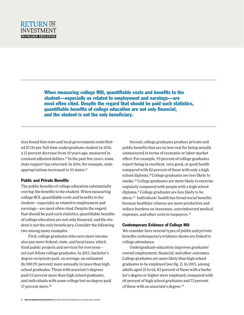When measuring college ROI, quantifiable costs and benefits to the student—especially as related to employment and earnings—are most often cited. Despite the regard that should be paid such statistics, quantifiable benefits of college education are not only financial, and the student is not the only beneficiary.

tion found that state and local governments contributed \$7,116 per full-time undergraduate student in 2016, a 12 percent decrease from 10 years ago, measured in constant adjusted dollars.26 In the past few years, some state support has returned. In 2016, for example, state appropriations increased in 33 states.<sup>27</sup>

#### Public and Private Benefits

The public benefits of college education substantially overlap the benefits to the student. When measuring college ROI, quantifiable costs and benefits to the student—especially as related to employment and earnings—are most often cited. Despite the regard that should be paid such statistics, quantifiable benefits of college education are not only financial, and the student is not the only beneficiary. Consider the following two among many examples.

First, college graduates who earn more income also pay more federal, state, and local taxes, which fund public projects and services for everyone not just fellow college graduates. In 2015, bachelor's degree recipients paid, on average, an estimated \$6,900 (91 percent) more annually in taxes than high school graduates. Those with associate's degrees paid 33 percent more than high school graduates, and individuals with some college but no degree paid 17 percent more.<sup>28</sup>

Second, college graduates produce private and public benefits that are no less real for being usually unmeasured in terms of economic or labor market effect. For example, 93 percent of college graduates report being in excellent, very good, or good health compared with 82 percent of those with only a high school diploma.29 College graduates are less likely to smoke.30 College graduates are more likely to exercise regularly compared with people with a high school diploma.31 College graduates are less likely to be obese.32 Individuals' health has broad social benefits because healthier citizens are more productive and reduce burdens on insurance, unreimbursed medical expenses, and other costs to taxpayers.<sup>33</sup>

## Contemporary Evidence of College ROI

We consider here several types of public and private benefits contemporary evidence shows are linked to college attendance.

Undergraduate education improves graduates' overall employment, financial, and other outcomes. College graduates are more likely than high school graduates to be employed (see fig. 1). In 2015, among adults aged 25 to 64, 83 percent of those with a bachelor's degree or higher were employed, compared with 68 percent of high school graduates and 72 percent of those with an associate's degree.34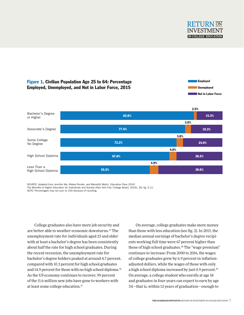



SOURCE: Adapted from Jennifer Ma, Matea Pender, and Meredith Welch, *Education Pays 2016:*

NOTE: Percentages may not sum to 100 because of rounding.

College graduates also have more job security and are better able to weather economic downturns.35 The unemployment rate for individuals aged 25 and older with at least a bachelor's degree has been consistently about half the rate for high school graduates. During the recent recession, the unemployment rate for bachelor's degree holders peaked at around 4.7 percent, compared with 10.3 percent for high school graduates and 14.9 percent for those with no high school diploma.<sup>36</sup> As the US economy continues to recover, 99 percent of the 11.6 million new jobs have gone to workers with at least some college education.37

On average, college graduates make more money than those with less education (see fig. 2). In 2015, the median annual earnings of bachelor's degree recipients working full time were 67 percent higher than those of high school graduates.<sup>38</sup> The "wage premium" continues to increase: From 2000 to 2016, the wages of college graduates grew by 6.9 percent in inflationadjusted dollars, while the wages of those with only a high school diploma increased by just 0.9 percent.<sup>39</sup> On average, a college student who enrolls at age 18 and graduates in four years can expect to earn by age 34—that is, within 12 years of graduation—enough to

The Benefits of Higher Education for Individuals and Society (New York City: College Board, 2016), 28, fig. 2.11.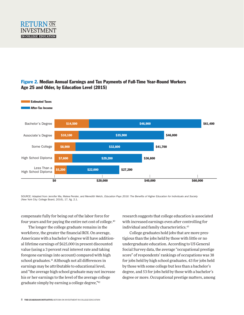

# Figure 2. Median Annual Earnings and Tax Payments of Full-Time Year-Round Workers Age 25 and Older, by Education Level (2015)



SOURCE: Adapted from Jennifer Ma, Matea Pender, and Meredith Welch, *Education Pays 2016: The Benefits of Higher Education for Individuals and Society* (New York City: College Board, 2016), 17, fig. 2.1.

compensate fully for being out of the labor force for four years and for paying the entire net cost of college.<sup>40</sup>

The longer the college graduate remains in the workforce, the greater the financial ROI. On average, Americans with a bachelor's degree will have additional lifetime earnings of \$625,000 in present discounted value (using a 3 percent real interest rate and taking foregone earnings into account) compared with high school graduates.<sup>41</sup> Although not all differences in earnings may be attributable to educational level, and "the average high school graduate may not increase his or her earnings to the level of the average college graduate simply by earning a college degree,"42

research suggests that college education is associated with increased earnings even after controlling for individual and family characteristics.<sup>43</sup>

College graduates hold jobs that are more prestigious than the jobs held by those with little or no undergraduate education. According to US General Social Survey data, the average "occupational prestige score" of respondents' rankings of occupations was 38 for jobs held by high school graduates, 43 for jobs held by those with some college but less than a bachelor's degree, and 53 for jobs held by those with a bachelor's degree or more. Occupational prestige matters, among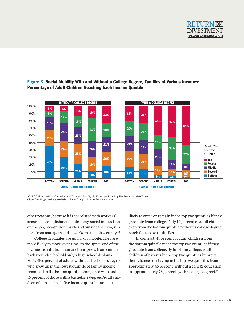



# Figure 3. Social Mobility With and Without a College Degree, Families of Various Incomes: Percentage of Adult Children Reaching Each Income Quintile

SOURCE: Ron Haskins, *Education and Economic Mobility* 5 (2016), published by The Pew Charitable Trusts (citing Brookings Institute analysis of Panel Study of Income Dynamics data).

other reasons, because it is correlated with workers' sense of accomplishment, autonomy, social interaction on the job, recognition inside and outside the firm, support from managers and coworkers, and job security.44

College graduates are upwardly mobile. They are more likely to move, over time, to the upper end of the income distribution than are their peers from similar backgrounds who hold only a high school diploma. Forty-five percent of adults without a bachelor's degree who grew up in the lowest quintile of family income remained in the bottom quintile, compared with just 16 percent of those with a bachelor's degree. Adult children of parents in all five income quintiles are more

likely to enter or remain in the top two quintiles if they graduate from college. Only 14 percent of adult children from the bottom quintile without a college degree reach the top two quintiles.

In contrast, 41 percent of adult children from the bottom quintile reach the top two quintiles if they graduate from college. By finishing college, adult children of parents in the top two quintiles improve their chances of staying in the top two quintiles from approximately 45 percent (without a college education) to approximately 78 percent (with a college degree).<sup>45</sup>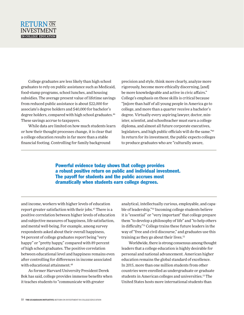# RETURN ON INVESTMENT **IN COLLEGE EDUCATION**

College graduates are less likely than high school graduates to rely on public assistance such as Medicaid, food-stamp programs, school lunches, and housing subsidies. The average present value of lifetime savings from reduced public assistance is about \$22,000 for associate's degree holders and \$40,000 for bachelor's degree holders, compared with high school graduates.<sup>46</sup> These savings accrue to taxpayers.

While data are limited on how much students learn or how their thought processes change, it is clear that a college education results in far more than a stable financial footing. Controlling for family background

precision and style, think more clearly, analyze more rigorously, become more ethically discerning, [and] be more knowledgeable and active in civic affairs." College's emphasis on those skills is critical because "[m]ore than half of all young people in America go to college, and more than a quarter receive a bachelor's degree. Virtually every aspiring lawyer, doctor, minister, scientist, and schoolteacher must earn a college diploma, and almost all future corporate executives, legislators, and high public officials will do the same."49 In return for its investment, the public expects colleges to produce graduates who are "culturally aware,

Powerful evidence today shows that college provides a robust positive return on public and individual investment. The payoff for students and the public accrues most dramatically when students earn college degrees.

and income, workers with higher levels of education report greater satisfaction with their jobs.47 There is a positive correlation between higher levels of education and subjective measures of happiness, life satisfaction, and mental well-being. For example, among survey respondents asked about their overall happiness, 94 percent of college graduates report being "very happy" or "pretty happy," compared with 89 percent of high school graduates. The positive correlation between educational level and happiness remains even after controlling for differences in income associated with educational attainment.<sup>48</sup>

As former Harvard University President Derek Bok has said, college provides immense benefits when it teaches students to "communicate with greater

analytical, intellectually curious, employable, and capable of leadership."50 Incoming college students believe it is "essential" or "very important" that college prepare them "to develop a philosophy of life" and "to help others in difficulty."51 College trains these future leaders in the way of "free and civil discourse," and graduates use this training as they go about their lives.<sup>52</sup>

Worldwide, there is strong consensus among thought leaders that a college education is highly desirable for personal and national advancement. American higher education remains the global standard of excellence. In 2015, more than one million students from other countries were enrolled as undergraduate or graduate students in American colleges and universities.53 The United States hosts more international students than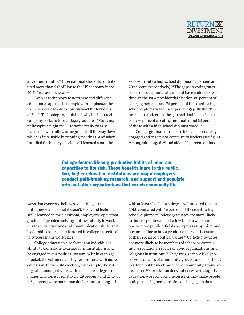

any other country.54 International students contributed more than \$32 billion to the US economy in the 2015–16 academic year.55

Even as technology fosters new and different educational approaches, employers emphasize the value of a college education. Stewart Butterfield, CEO of Slack Technologies, explained why his high-tech company seeks to hire college graduates: "Studying philosophy taught me . . . to write really clearly. I learned how to follow an argument all the way down, which is invaluable in running meetings. And when I studied the history of science, I learned about the

zens with only a high school diploma (12 percent and 20 percent, respectively).<sup>58</sup> The gaps in voting rates based on educational attainment have widened over time. In the 1964 presidential election, 88 percent of college graduates and 76 percent of those with a high school diploma voted—a 12 percent gap. By the 2016 presidential election, the gap had doubled to 24 percent: 76 percent of college graduates and 52 percent of those with a high school diploma voted.59

College graduates are more likely to be civically engaged and to serve as community leaders (see fig. 4). Among adults aged 25 and older, 39 percent of those

College fosters lifelong productive habits of mind and capacities to flourish. These benefits inure to the public. Too, higher education institutions are major employers, conduct path-breaking research, and support and populate arts and other organizations that enrich community life.

ways that everyone believes something is true . . . until they realized that it wasn't."56 Beyond technical skills learned in the classroom, employers report that graduates' problem-solving abilities, ability to work in a team, written and oral communication skills, and leadership experiences fostered in college are critical to success in the workplace.<sup>57</sup>

College education also fosters an individual's ability to contribute to democratic institutions and be engaged in our political system. Within each age bracket, the voting rate is higher for those with more education. In the 2014 election, for example, the voting rates among citizens with a bachelor's degree or higher who were aged 18 to 24 (29 percent) and 25 to 44 (45 percent) were more than double those among citiwith at least a bachelor's degree volunteered time in 2015, compared with 16 percent of those with a high school diploma.<sup>60</sup> College graduates are more likely to discuss politics at least a few times a week, contact one or more public officials to express an opinion, and buy or decline to buy a product or service because of their social or political values.<sup>61</sup> College graduates are more likely to be members of school or community associations, service or civic organizations, and religious institutions.62 They are also more likely to serve as officers of community groups, and more likely to attend public meetings where community affairs are discussed.63 Correlation does not necessarily signify causation—personal characteristics may make people both pursue higher education and engage in these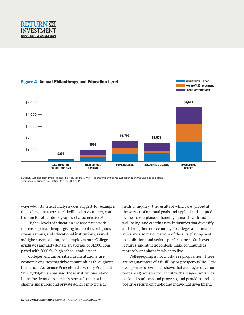

## Figure 4. Annual Philanthropy and Education Level



SOURCE: Adapted from Philip Trostel, *It's Not Just the Money: The Benefits of College Education to Individuals and to Society* (Indianapolis: Lumina Foundation, 2015), 59, fig. 41.

ways—but statistical analysis does suggest, for example, that college increases the likelihood to volunteer, controlling for other demographic characteristics.<sup>64</sup>

Higher levels of education are associated with increased philanthropic giving to charities, religious organizations, and educational institutions, as well as higher levels of nonprofit employment.<sup>65</sup> College graduates annually donate an average of \$1,300, compared with \$600 for high school graduates.<sup>66</sup>

Colleges and universities, as institutions, are economic engines that drive communities throughout the nation. As former Princeton University President Shirley Tilghman has said, these institutions "stand in the forefront of America's research enterprise, channeling public and private dollars into critical

fields of inquiry," the results of which are "placed at the service of national goals and applied and adapted by the marketplace, enhancing human health and well-being, and creating new industries that diversify and strengthen our economy."67 Colleges and universities are also major patrons of the arts, playing host to exhibitions and artistic performances. Such events, lectures, and athletic contests make communities more vibrant places in which to live.

Volunteered Labor

College-going is not a risk-free proposition. There are no guarantees of a fulfilling or prosperous life. However, powerful evidence shows that a college education prepares graduates to meet life's challenges, advances national readiness and progress, and provides a robust positive return on public and individual investment.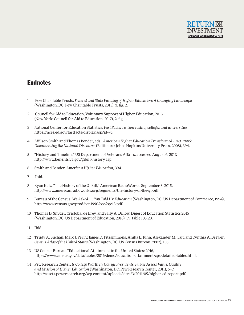

# **Endnotes**

- 1 Pew Charitable Trusts, *Federal and State Funding of Higher Education: A Changing Landscape*  (Washington, DC: Pew Charitable Trusts, 2015), 3, fig. 2.
- 2 Council for Aid to Education, Voluntary Support of Higher Education, 2016 (New York: Council for Aid to Education, 2017), 2, fig. 1.
- 3 National Center for Education Statistics, *Fast Facts: Tuition costs of colleges and universities*, https://nces.ed.gov/fastfacts/display.asp?id=76.
- 4 Wilson Smith and Thomas Bender, eds., *American Higher Education Transformed 1940–2005: Documenting the National Discourse* (Baltimore: Johns Hopkins University Press, 2008), 394.
- 5 "History and Timeline," US Department of Veterans Affairs, accessed August 6, 2017, http://www.benefits.va.gov/gibill/history.asp.
- 6 Smith and Bender, *American Higher Education*, 394.
- 7 Ibid.
- 8 Ryan Katz, "The History of the GI Bill," American RadioWorks, September 3, 2015, http://www.americanradioworks.org/segments/the-history-of-the-gi-bill.
- 9 Bureau of the Census, *We Asked . . . You Told Us: Education* (Washington, DC: US Department of Commerce, 1994), http://www.census.gov/prod/cen1990/cqc/cqc13.pdf.
- 10 Thomas D. Snyder, Cristobal de Brey, and Sally A. Dillow, Digest of Education Statistics 2015 (Washington, DC: US Department of Education, 2016), 59, table 105.20.
- 11 Ibid.
- 12 Trudy A. Suchan, Marc J. Perry, James D. Fitzsimmons, Anika E. Juhn, Alexander M. Tait, and Cynthia A. Brewer, *Census Atlas of the United States* (Washington, DC: US Census Bureau, 2007), 158.
- 13 US Census Bureau, "Educational Attainment in the United States: 2016," https://www.census.gov/data/tables/2016/demo/education-attainment/cps-detailed-tables.html.
- 14 Pew Research Center, *Is College Worth It? College Presidents, Public Assess Value, Quality and Mission of Higher Education* (Washington, DC: Pew Research Center, 2011), 6–7, http://assets.pewresearch.org/wp-content/uploads/sites/3/2011/05/higher-ed-report.pdf.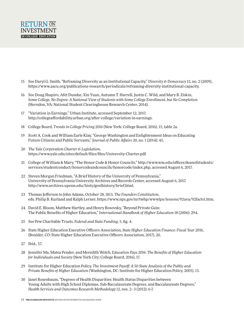

- 15 See Daryl G. Smith, "Reframing Diversity as an Institutional Capacity," *Diversity & Democracy* 12, no. 2 (2009), https://www.aacu.org/publications-research/periodicals/reframing-diversity-institutional-capacity.
- 16 See Doug Shapiro, Afet Dundar, Xin Yuan, Autumn T. Harrell, Justin C. Wild, and Mary B. Ziskin, *Some College, No Degree: A National View of Students with Some College Enrollment, but No Completion* (Herndon, VA: National Student Clearinghouse Research Center, 2014).
- 17 "Variation in Earnings," Urban Institute, accessed September 12, 2017, http://collegeaffordability.urban.org/after-college/variation-in-earnings.
- 18 College Board, *Trends in College Pricing 2016* (New York: College Board, 2016), 15, table 2a.
- 19 Scott A. Cook and William Earle Klay, "George Washington and Enlightenment Ideas on Educating Future Citizens and Public Servants," *Journal of Public Affairs* 20, no. 1 (2014): 45.
- 20 *The Yale Corporation Charter & Legislation*, https://www.yale.edu/sites/default/files/files/University-Charter.pdf.
- 21 College of William & Mary, "The Honor Code & Honor Councils," http://www.wm.edu/offices/deanofstudents/ services/studentconduct/honorcodeandcouncils/honorcode/index.php, accessed August 6, 2017.
- 22 Steven Morgan Friedman, "A Brief History of the University of Pennsylvania," University of Pennsylvania University Archives and Records Center, accessed August 6, 2017, http://www.archives.upenn.edu/histy/genlhistory/brief.html.
- 23 Thomas Jefferson to John Adams, October 28, 1813, *The Founders Constitution*, eds. Philip B. Kurland and Ralph Lerner, https://www.nps.gov/nr/twhp/wwwlps/lessons/92uva/92facts1.htm.
- 24 David E. Bloom, Matthew Hartley, and Henry Rosovsky, "Beyond Private Gain: The Public Benefits of Higher Education," *International Handbook of Higher Education* 18 (2006): 294.
- 25 See Pew Charitable Trusts, *Federal and State Funding*, 5, fig. 4.
- 26 State Higher Education Executive Officers Association, *State Higher Education Finance: Fiscal Year 2016*, (Boulder, CO: State Higher Education Executive Officers Association, 2017), 20.
- 27 Ibid., 57.
- 28 Jennifer Ma, Matea Pender, and Meredith Welch, *Education Pays 2016: The Benefits of Higher Education for Individuals and Society* (New York City: College Board, 2016), 17.
- 29 Institute for Higher Education Policy, *The Investment Payoff: A 50-State Analysis of the Public and Private Benefits of Higher Education* (Washington, DC: Institute for Higher Education Policy, 2005), 13.
- 30 Janet Rosenbaum, "Degrees of Health Disparities: Health Status Disparities between Young Adults with High School Diplomas, Sub-Baccalaureate Degrees, and Baccalaureate Degrees," *Health Services and Outcomes Research Methodology* 12, nos. 2–3 (2012): 6-7.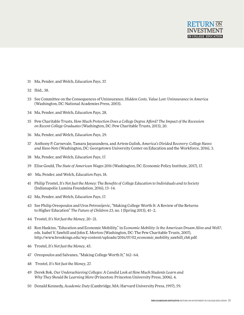

- 31 Ma, Pender, and Welch, *Education Pays*, 37.
- 32 Ibid., 38.
- 33 See Committee on the Consequences of Uninsurance, *Hidden Costs, Value Lost: Uninsurance in America* (Washington, DC: National Academies Press, 2003).
- 34 Ma, Pender, and Welch, *Education Pays*, 28.
- 35 Pew Charitable Trusts, *How Much Protection Does a College Degree Afford? The Impact of the Recession on Recent College Graduates* (Washington, DC: Pew Charitable Trusts, 2013), 20.
- 36 Ma, Pender, and Welch, *Education Pays*, 29.
- 37 Anthony P. Carnevale, Tamara Jayasundera, and Artem Gulish, *America's Divided Recovery: College Haves and Have-Nots* (Washington, DC: Georgetown University Center on Education and the Workforce, 2016), 3.
- 38 Ma, Pender, and Welch, *Education Pays*, 17.
- 39 Elise Gould, *The State of American Wages 2016* (Washington, DC: Economic Policy Institute, 2017), 17.
- 40 Ma, Pender, and Welch, *Education Pays*, 18.
- 41 Philip Trostel, *It's Not Just the Money: The Benefits of College Education to Individuals and to Society* (Indianapolis: Lumina Foundation, 2016), 13–14.
- 42 Ma, Pender, and Welch, *Education Pays*, 17.
- 43 See Philip Oreopoulos and Uros Petronijevic, "Making College Worth It: A Review of the Returns to Higher Education" *The Future of Children 23*, no. 1 (Spring 2013), 41–2.
- 44 Trostel, *It's Not Just the Money*, 20–21.
- 45 Ron Haskins, "Education and Economic Mobility," in *Economic Mobility: Is the American Dream Alive and Well?*, eds. Isabel V. Sawhill and John E. Morton (Washington, DC: The Pew Charitable Trusts, 2007), http://www.brookings.edu/wp-content/uploads/2016/07/02\_economic\_mobility\_sawhill\_ch8.pdf.
- 46 Trostel, *It's Not Just the Money*, 45.
- 47 Oreopoulos and Salvanes, "Making College Worth It," 162–64.
- 48 Trostel, *It's Not Just the Money*, 27.
- 49 Derek Bok, *Our Underachieving Colleges: A Candid Look at How Much Students Learn and Why They Should Be Learning More* (Princeton: Princeton University Press, 2006), 4.
- 50 Donald Kennedy, *Academic Duty* (Cambridge, MA: Harvard University Press, 1997), 59.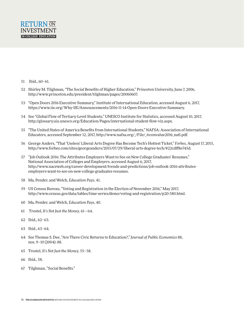

- 51 Ibid., 60–61.
- 52 Shirley M. Tilghman, "The Social Benefits of Higher Education," Princeton University, June 7, 2006, http://www.princeton.edu/president/tilghman/pages/20060607.
- 53 "Open Doors 2016 Executive Summary," Institute of International Education, accessed August 6, 2017, https://www.iie.org/Why-IIE/Announcements/2016-11-14-Open-Doors-Executive-Summary.
- 54 See "Global Flow of Tertiary-Level Students," UNESCO Institute for Statistics, accessed August 10, 2017, http://glossary.uis.unesco.org/Education/Pages/international-student-flow-viz.aspx.
- 55 "The United States of America Benefits from International Students," NAFSA: Association of International Educators, accessed September 12, 2017, http://www.nafsa.org//File//econvalue2016 natl.pdf.
- 56 George Anders, "That 'Useless' Liberal Arts Degree Has Become Tech's Hottest Ticket," *Forbes*, August 17, 2015, http://www.forbes.com/sites/georgeanders/2015/07/29/liberal-arts-degree-tech/#22cdff8e745d.
- 57 "Job Outlook 2016: The Attributes Employers Want to See on New College Graduates' Resumes," National Association of Colleges and Employers, accessed August 6, 2017, http://www.naceweb.org/career-development/trends-and-predictions/job-outlook-2016-attributesemployers-want-to-see-on-new-college-graduates-resumes.
- 58 Ma, Pender, and Welch, *Education Pays*, 41.
- 59 US Census Bureau, "Voting and Registration in the Election of November 2016," May 2017, http://www.census.gov/data/tables/time-series/demo/voting-and-registration/p20-580.html.
- 60 Ma, Pender, and Welch, *Education Pays*, 40.
- 61 Trostel, *It's Not Just the Money*, 61—64.
- 62 Ibid., 62–63.
- 63 Ibid., 63–64.
- 64 See Thomas S. Dee, "Are There Civic Returns to Education?," *Journal of Public Economics* 88, nos. 9–10 (2004): 88.
- 65 Trostel, *It's Not Just the Money*, 55–58.
- 66 Ibid., 58.
- 67 Tilghman, "Social Benefits."